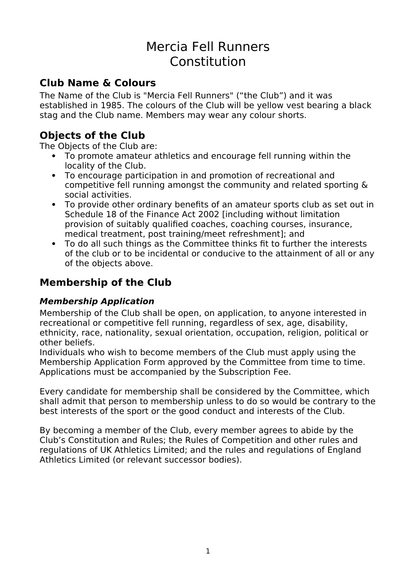# Mercia Fell Runners Constitution

## **Club Name & Colours**

The Name of the Club is "Mercia Fell Runners" ("the Club") and it was established in 1985. The colours of the Club will be yellow vest bearing a black stag and the Club name. Members may wear any colour shorts.

## **Objects of the Club**

The Objects of the Club are:

- To promote amateur athletics and encourage fell running within the locality of the Club.
- To encourage participation in and promotion of recreational and competitive fell running amongst the community and related sporting & social activities.
- To provide other ordinary benefits of an amateur sports club as set out in Schedule 18 of the Finance Act 2002 [including without limitation provision of suitably qualified coaches, coaching courses, insurance, medical treatment, post training/meet refreshment]; and
- To do all such things as the Committee thinks fit to further the interests of the club or to be incidental or conducive to the attainment of all or any of the objects above.

## **Membership of the Club**

### **Membership Application**

Membership of the Club shall be open, on application, to anyone interested in recreational or competitive fell running, regardless of sex, age, disability, ethnicity, race, nationality, sexual orientation, occupation, religion, political or other beliefs.

Individuals who wish to become members of the Club must apply using the Membership Application Form approved by the Committee from time to time. Applications must be accompanied by the Subscription Fee.

Every candidate for membership shall be considered by the Committee, which shall admit that person to membership unless to do so would be contrary to the best interests of the sport or the good conduct and interests of the Club.

By becoming a member of the Club, every member agrees to abide by the Club's Constitution and Rules; the Rules of Competition and other rules and regulations of UK Athletics Limited; and the rules and regulations of England Athletics Limited (or relevant successor bodies).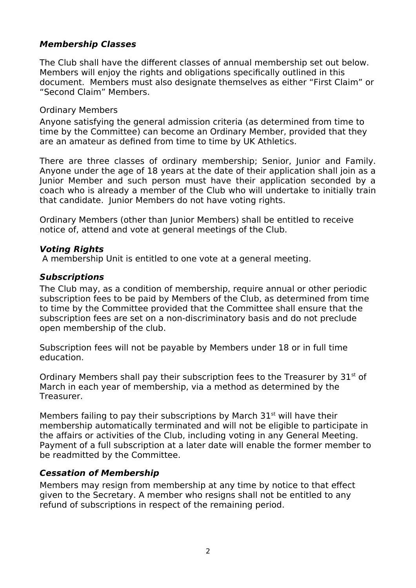### **Membership Classes**

The Club shall have the different classes of annual membership set out below. Members will enjoy the rights and obligations specifically outlined in this document. Members must also designate themselves as either "First Claim" or "Second Claim" Members.

#### Ordinary Members

Anyone satisfying the general admission criteria (as determined from time to time by the Committee) can become an Ordinary Member, provided that they are an amateur as defined from time to time by UK Athletics.

There are three classes of ordinary membership; Senior, Junior and Family. Anyone under the age of 18 years at the date of their application shall join as a Junior Member and such person must have their application seconded by a coach who is already a member of the Club who will undertake to initially train that candidate. Junior Members do not have voting rights.

Ordinary Members (other than Junior Members) shall be entitled to receive notice of, attend and vote at general meetings of the Club.

#### **Voting Rights**

A membership Unit is entitled to one vote at a general meeting.

#### **Subscriptions**

The Club may, as a condition of membership, require annual or other periodic subscription fees to be paid by Members of the Club, as determined from time to time by the Committee provided that the Committee shall ensure that the subscription fees are set on a non-discriminatory basis and do not preclude open membership of the club.

Subscription fees will not be payable by Members under 18 or in full time education.

Ordinary Members shall pay their subscription fees to the Treasurer by  $31<sup>st</sup>$  of March in each year of membership, via a method as determined by the Treasurer.

Members failing to pay their subscriptions by March  $31<sup>st</sup>$  will have their membership automatically terminated and will not be eligible to participate in the affairs or activities of the Club, including voting in any General Meeting. Payment of a full subscription at a later date will enable the former member to be readmitted by the Committee.

#### **Cessation of Membership**

Members may resign from membership at any time by notice to that effect given to the Secretary. A member who resigns shall not be entitled to any refund of subscriptions in respect of the remaining period.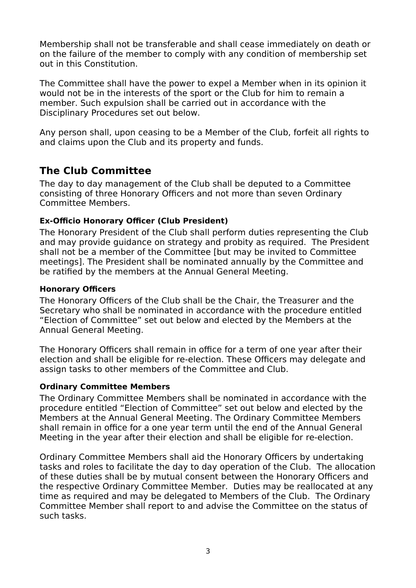Membership shall not be transferable and shall cease immediately on death or on the failure of the member to comply with any condition of membership set out in this Constitution.

The Committee shall have the power to expel a Member when in its opinion it would not be in the interests of the sport or the Club for him to remain a member. Such expulsion shall be carried out in accordance with the Disciplinary Procedures set out below.

Any person shall, upon ceasing to be a Member of the Club, forfeit all rights to and claims upon the Club and its property and funds.

## **The Club Committee**

The day to day management of the Club shall be deputed to a Committee consisting of three Honorary Officers and not more than seven Ordinary Committee Members.

#### **Ex-Officio Honorary Officer (Club President)**

The Honorary President of the Club shall perform duties representing the Club and may provide guidance on strategy and probity as required. The President shall not be a member of the Committee [but may be invited to Committee meetings]. The President shall be nominated annually by the Committee and be ratified by the members at the Annual General Meeting.

#### **Honorary Officers**

The Honorary Officers of the Club shall be the Chair, the Treasurer and the Secretary who shall be nominated in accordance with the procedure entitled "Election of Committee" set out below and elected by the Members at the Annual General Meeting.

The Honorary Officers shall remain in office for a term of one year after their election and shall be eligible for re-election. These Officers may delegate and assign tasks to other members of the Committee and Club.

#### **Ordinary Committee Members**

The Ordinary Committee Members shall be nominated in accordance with the procedure entitled "Election of Committee" set out below and elected by the Members at the Annual General Meeting. The Ordinary Committee Members shall remain in office for a one year term until the end of the Annual General Meeting in the year after their election and shall be eligible for re-election.

Ordinary Committee Members shall aid the Honorary Officers by undertaking tasks and roles to facilitate the day to day operation of the Club. The allocation of these duties shall be by mutual consent between the Honorary Officers and the respective Ordinary Committee Member. Duties may be reallocated at any time as required and may be delegated to Members of the Club. The Ordinary Committee Member shall report to and advise the Committee on the status of such tasks.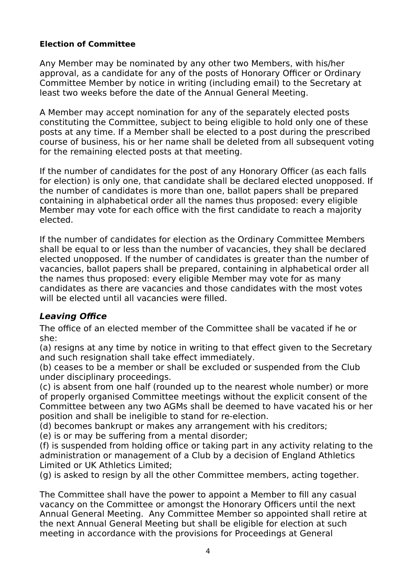#### **Election of Committee**

Any Member may be nominated by any other two Members, with his/her approval, as a candidate for any of the posts of Honorary Officer or Ordinary Committee Member by notice in writing (including email) to the Secretary at least two weeks before the date of the Annual General Meeting.

A Member may accept nomination for any of the separately elected posts constituting the Committee, subject to being eligible to hold only one of these posts at any time. If a Member shall be elected to a post during the prescribed course of business, his or her name shall be deleted from all subsequent voting for the remaining elected posts at that meeting.

If the number of candidates for the post of any Honorary Officer (as each falls for election) is only one, that candidate shall be declared elected unopposed. If the number of candidates is more than one, ballot papers shall be prepared containing in alphabetical order all the names thus proposed: every eligible Member may vote for each office with the first candidate to reach a majority elected.

If the number of candidates for election as the Ordinary Committee Members shall be equal to or less than the number of vacancies, they shall be declared elected unopposed. If the number of candidates is greater than the number of vacancies, ballot papers shall be prepared, containing in alphabetical order all the names thus proposed: every eligible Member may vote for as many candidates as there are vacancies and those candidates with the most votes will be elected until all vacancies were filled.

### **Leaving Office**

The office of an elected member of the Committee shall be vacated if he or she:

(a) resigns at any time by notice in writing to that effect given to the Secretary and such resignation shall take effect immediately.

(b) ceases to be a member or shall be excluded or suspended from the Club under disciplinary proceedings.

(c) is absent from one half (rounded up to the nearest whole number) or more of properly organised Committee meetings without the explicit consent of the Committee between any two AGMs shall be deemed to have vacated his or her position and shall be ineligible to stand for re-election.

(d) becomes bankrupt or makes any arrangement with his creditors;

(e) is or may be suffering from a mental disorder;

(f) is suspended from holding office or taking part in any activity relating to the administration or management of a Club by a decision of England Athletics Limited or UK Athletics Limited;

(g) is asked to resign by all the other Committee members, acting together.

The Committee shall have the power to appoint a Member to fill any casual vacancy on the Committee or amongst the Honorary Officers until the next Annual General Meeting. Any Committee Member so appointed shall retire at the next Annual General Meeting but shall be eligible for election at such meeting in accordance with the provisions for Proceedings at General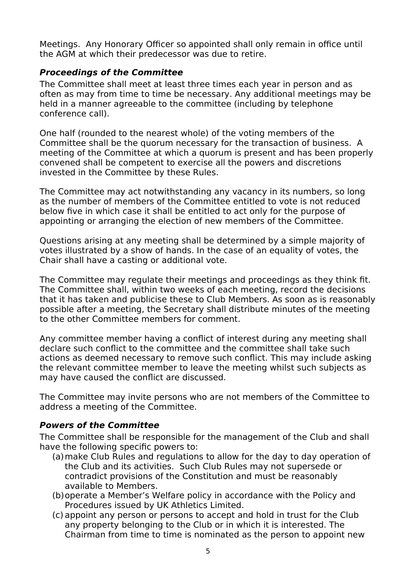Meetings. Any Honorary Officer so appointed shall only remain in office until the AGM at which their predecessor was due to retire.

### **Proceedings of the Committee**

The Committee shall meet at least three times each year in person and as often as may from time to time be necessary. Any additional meetings may be held in a manner agreeable to the committee (including by telephone conference call).

One half (rounded to the nearest whole) of the voting members of the Committee shall be the quorum necessary for the transaction of business. A meeting of the Committee at which a quorum is present and has been properly convened shall be competent to exercise all the powers and discretions invested in the Committee by these Rules.

The Committee may act notwithstanding any vacancy in its numbers, so long as the number of members of the Committee entitled to vote is not reduced below five in which case it shall be entitled to act only for the purpose of appointing or arranging the election of new members of the Committee.

Questions arising at any meeting shall be determined by a simple majority of votes illustrated by a show of hands. In the case of an equality of votes, the Chair shall have a casting or additional vote.

The Committee may regulate their meetings and proceedings as they think fit. The Committee shall, within two weeks of each meeting, record the decisions that it has taken and publicise these to Club Members. As soon as is reasonably possible after a meeting, the Secretary shall distribute minutes of the meeting to the other Committee members for comment.

Any committee member having a conflict of interest during any meeting shall declare such conflict to the committee and the committee shall take such actions as deemed necessary to remove such conflict. This may include asking the relevant committee member to leave the meeting whilst such subjects as may have caused the conflict are discussed.

The Committee may invite persons who are not members of the Committee to address a meeting of the Committee.

### **Powers of the Committee**

The Committee shall be responsible for the management of the Club and shall have the following specific powers to:

- (a)make Club Rules and regulations to allow for the day to day operation of the Club and its activities. Such Club Rules may not supersede or contradict provisions of the Constitution and must be reasonably available to Members.
- (b)operate a Member's Welfare policy in accordance with the Policy and Procedures issued by UK Athletics Limited.
- (c) appoint any person or persons to accept and hold in trust for the Club any property belonging to the Club or in which it is interested. The Chairman from time to time is nominated as the person to appoint new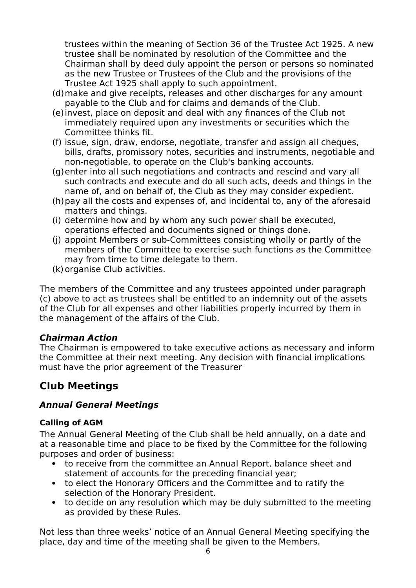trustees within the meaning of Section 36 of the Trustee Act 1925. A new trustee shall be nominated by resolution of the Committee and the Chairman shall by deed duly appoint the person or persons so nominated as the new Trustee or Trustees of the Club and the provisions of the Trustee Act 1925 shall apply to such appointment.

- (d)make and give receipts, releases and other discharges for any amount payable to the Club and for claims and demands of the Club.
- (e)invest, place on deposit and deal with any finances of the Club not immediately required upon any investments or securities which the Committee thinks fit.
- (f) issue, sign, draw, endorse, negotiate, transfer and assign all cheques, bills, drafts, promissory notes, securities and instruments, negotiable and non-negotiable, to operate on the Club's banking accounts.
- (g)enter into all such negotiations and contracts and rescind and vary all such contracts and execute and do all such acts, deeds and things in the name of, and on behalf of, the Club as they may consider expedient.
- (h)pay all the costs and expenses of, and incidental to, any of the aforesaid matters and things.
- (i) determine how and by whom any such power shall be executed, operations effected and documents signed or things done.
- (j) appoint Members or sub-Committees consisting wholly or partly of the members of the Committee to exercise such functions as the Committee may from time to time delegate to them.
- (k)organise Club activities.

The members of the Committee and any trustees appointed under paragraph (c) above to act as trustees shall be entitled to an indemnity out of the assets of the Club for all expenses and other liabilities properly incurred by them in the management of the affairs of the Club.

### **Chairman Action**

The Chairman is empowered to take executive actions as necessary and inform the Committee at their next meeting. Any decision with financial implications must have the prior agreement of the Treasurer

## **Club Meetings**

### **Annual General Meetings**

#### **Calling of AGM**

The Annual General Meeting of the Club shall be held annually, on a date and at a reasonable time and place to be fixed by the Committee for the following purposes and order of business:

- to receive from the committee an Annual Report, balance sheet and statement of accounts for the preceding financial year;
- to elect the Honorary Officers and the Committee and to ratify the selection of the Honorary President.
- to decide on any resolution which may be duly submitted to the meeting as provided by these Rules.

Not less than three weeks' notice of an Annual General Meeting specifying the place, day and time of the meeting shall be given to the Members.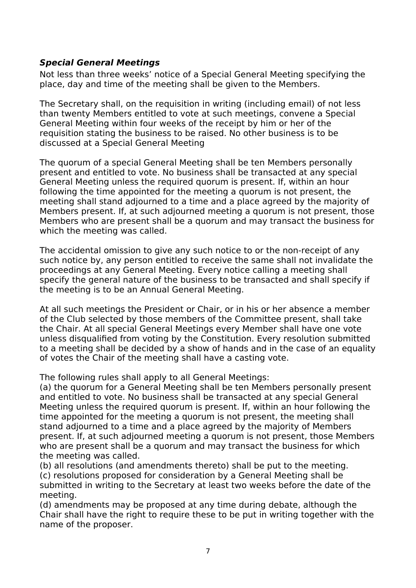### **Special General Meetings**

Not less than three weeks' notice of a Special General Meeting specifying the place, day and time of the meeting shall be given to the Members.

The Secretary shall, on the requisition in writing (including email) of not less than twenty Members entitled to vote at such meetings, convene a Special General Meeting within four weeks of the receipt by him or her of the requisition stating the business to be raised. No other business is to be discussed at a Special General Meeting

The quorum of a special General Meeting shall be ten Members personally present and entitled to vote. No business shall be transacted at any special General Meeting unless the required quorum is present. If, within an hour following the time appointed for the meeting a quorum is not present, the meeting shall stand adjourned to a time and a place agreed by the majority of Members present. If, at such adjourned meeting a quorum is not present, those Members who are present shall be a quorum and may transact the business for which the meeting was called.

The accidental omission to give any such notice to or the non-receipt of any such notice by, any person entitled to receive the same shall not invalidate the proceedings at any General Meeting. Every notice calling a meeting shall specify the general nature of the business to be transacted and shall specify if the meeting is to be an Annual General Meeting.

At all such meetings the President or Chair, or in his or her absence a member of the Club selected by those members of the Committee present, shall take the Chair. At all special General Meetings every Member shall have one vote unless disqualified from voting by the Constitution. Every resolution submitted to a meeting shall be decided by a show of hands and in the case of an equality of votes the Chair of the meeting shall have a casting vote.

The following rules shall apply to all General Meetings:

(a) the quorum for a General Meeting shall be ten Members personally present and entitled to vote. No business shall be transacted at any special General Meeting unless the required quorum is present. If, within an hour following the time appointed for the meeting a quorum is not present, the meeting shall stand adjourned to a time and a place agreed by the majority of Members present. If, at such adjourned meeting a quorum is not present, those Members who are present shall be a quorum and may transact the business for which the meeting was called.

(b) all resolutions (and amendments thereto) shall be put to the meeting. (c) resolutions proposed for consideration by a General Meeting shall be submitted in writing to the Secretary at least two weeks before the date of the meeting.

(d) amendments may be proposed at any time during debate, although the Chair shall have the right to require these to be put in writing together with the name of the proposer.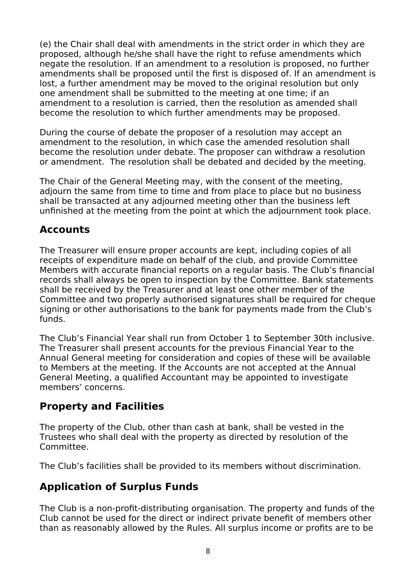(e) the Chair shall deal with amendments in the strict order in which they are proposed, although he/she shall have the right to refuse amendments which negate the resolution. If an amendment to a resolution is proposed, no further amendments shall be proposed until the first is disposed of. If an amendment is lost, a further amendment may be moved to the original resolution but only one amendment shall be submitted to the meeting at one time; if an amendment to a resolution is carried, then the resolution as amended shall become the resolution to which further amendments may be proposed.

During the course of debate the proposer of a resolution may accept an amendment to the resolution, in which case the amended resolution shall become the resolution under debate. The proposer can withdraw a resolution or amendment. The resolution shall be debated and decided by the meeting.

The Chair of the General Meeting may, with the consent of the meeting, adjourn the same from time to time and from place to place but no business shall be transacted at any adjourned meeting other than the business left unfinished at the meeting from the point at which the adjournment took place.

## **Accounts**

The Treasurer will ensure proper accounts are kept, including copies of all receipts of expenditure made on behalf of the club, and provide Committee Members with accurate financial reports on a regular basis. The Club's financial records shall always be open to inspection by the Committee. Bank statements shall be received by the Treasurer and at least one other member of the Committee and two properly authorised signatures shall be required for cheque signing or other authorisations to the bank for payments made from the Club's funds.

The Club's Financial Year shall run from October 1 to September 30th inclusive. The Treasurer shall present accounts for the previous Financial Year to the Annual General meeting for consideration and copies of these will be available to Members at the meeting. If the Accounts are not accepted at the Annual General Meeting, a qualified Accountant may be appointed to investigate members' concerns.

## **Property and Facilities**

The property of the Club, other than cash at bank, shall be vested in the Trustees who shall deal with the property as directed by resolution of the Committee.

The Club's facilities shall be provided to its members without discrimination.

## **Application of Surplus Funds**

The Club is a non-profit-distributing organisation. The property and funds of the Club cannot be used for the direct or indirect private benefit of members other than as reasonably allowed by the Rules. All surplus income or profits are to be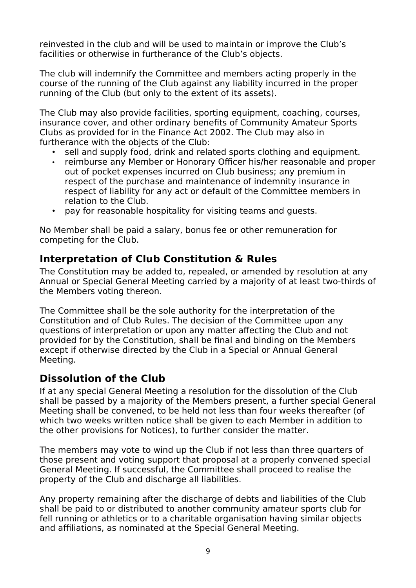reinvested in the club and will be used to maintain or improve the Club's facilities or otherwise in furtherance of the Club's objects.

The club will indemnify the Committee and members acting properly in the course of the running of the Club against any liability incurred in the proper running of the Club (but only to the extent of its assets).

The Club may also provide facilities, sporting equipment, coaching, courses, insurance cover, and other ordinary benefits of Community Amateur Sports Clubs as provided for in the Finance Act 2002. The Club may also in furtherance with the objects of the Club:

- sell and supply food, drink and related sports clothing and equipment.
- reimburse any Member or Honorary Officer his/her reasonable and proper out of pocket expenses incurred on Club business; any premium in respect of the purchase and maintenance of indemnity insurance in respect of liability for any act or default of the Committee members in relation to the Club.
- pay for reasonable hospitality for visiting teams and guests.

No Member shall be paid a salary, bonus fee or other remuneration for competing for the Club.

### **Interpretation of Club Constitution & Rules**

The Constitution may be added to, repealed, or amended by resolution at any Annual or Special General Meeting carried by a majority of at least two-thirds of the Members voting thereon.

The Committee shall be the sole authority for the interpretation of the Constitution and of Club Rules. The decision of the Committee upon any questions of interpretation or upon any matter affecting the Club and not provided for by the Constitution, shall be final and binding on the Members except if otherwise directed by the Club in a Special or Annual General Meeting.

## **Dissolution of the Club**

If at any special General Meeting a resolution for the dissolution of the Club shall be passed by a majority of the Members present, a further special General Meeting shall be convened, to be held not less than four weeks thereafter (of which two weeks written notice shall be given to each Member in addition to the other provisions for Notices), to further consider the matter.

The members may vote to wind up the Club if not less than three quarters of those present and voting support that proposal at a properly convened special General Meeting. If successful, the Committee shall proceed to realise the property of the Club and discharge all liabilities.

Any property remaining after the discharge of debts and liabilities of the Club shall be paid to or distributed to another community amateur sports club for fell running or athletics or to a charitable organisation having similar objects and affiliations, as nominated at the Special General Meeting.